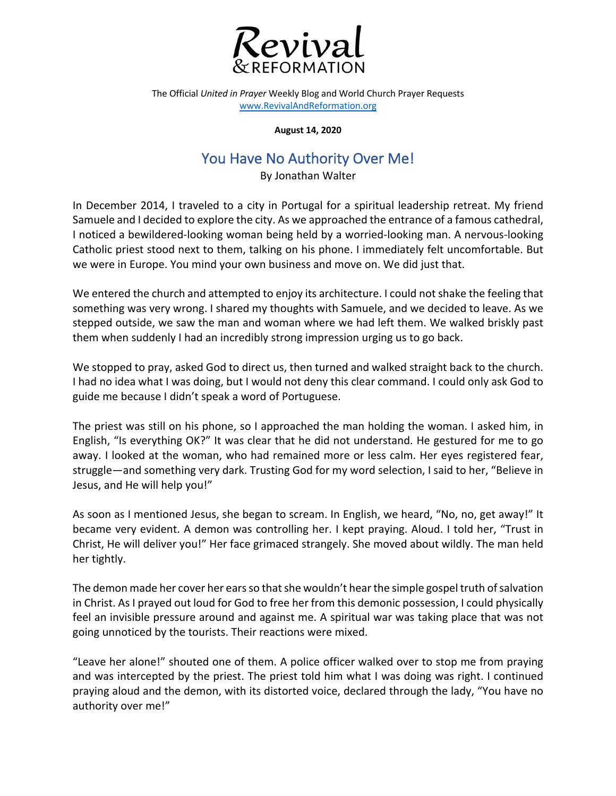

The Official *United in Prayer* Weekly Blog and World Church Prayer Requests www.RevivalAndReformation.org

**August 14, 2020**

## You Have No Authority Over Me!

By Jonathan Walter

In December 2014, I traveled to a city in Portugal for a spiritual leadership retreat. My friend Samuele and I decided to explore the city. As we approached the entrance of a famous cathedral, I noticed a bewildered-looking woman being held by a worried-looking man. A nervous-looking Catholic priest stood next to them, talking on his phone. I immediately felt uncomfortable. But we were in Europe. You mind your own business and move on. We did just that.

We entered the church and attempted to enjoy its architecture. I could not shake the feeling that something was very wrong. I shared my thoughts with Samuele, and we decided to leave. As we stepped outside, we saw the man and woman where we had left them. We walked briskly past them when suddenly I had an incredibly strong impression urging us to go back.

We stopped to pray, asked God to direct us, then turned and walked straight back to the church. I had no idea what I was doing, but I would not deny this clear command. I could only ask God to guide me because I didn't speak a word of Portuguese.

The priest was still on his phone, so I approached the man holding the woman. I asked him, in English, "Is everything OK?" It was clear that he did not understand. He gestured for me to go away. I looked at the woman, who had remained more or less calm. Her eyes registered fear, struggle—and something very dark. Trusting God for my word selection, I said to her, "Believe in Jesus, and He will help you!"

As soon as I mentioned Jesus, she began to scream. In English, we heard, "No, no, get away!" It became very evident. A demon was controlling her. I kept praying. Aloud. I told her, "Trust in Christ, He will deliver you!" Her face grimaced strangely. She moved about wildly. The man held her tightly.

The demon made her cover her ears so that she wouldn't hear the simple gospel truth of salvation in Christ. As I prayed out loud for God to free her from this demonic possession, I could physically feel an invisible pressure around and against me. A spiritual war was taking place that was not going unnoticed by the tourists. Their reactions were mixed.

"Leave her alone!" shouted one of them. A police officer walked over to stop me from praying and was intercepted by the priest. The priest told him what I was doing was right. I continued praying aloud and the demon, with its distorted voice, declared through the lady, "You have no authority over me!"